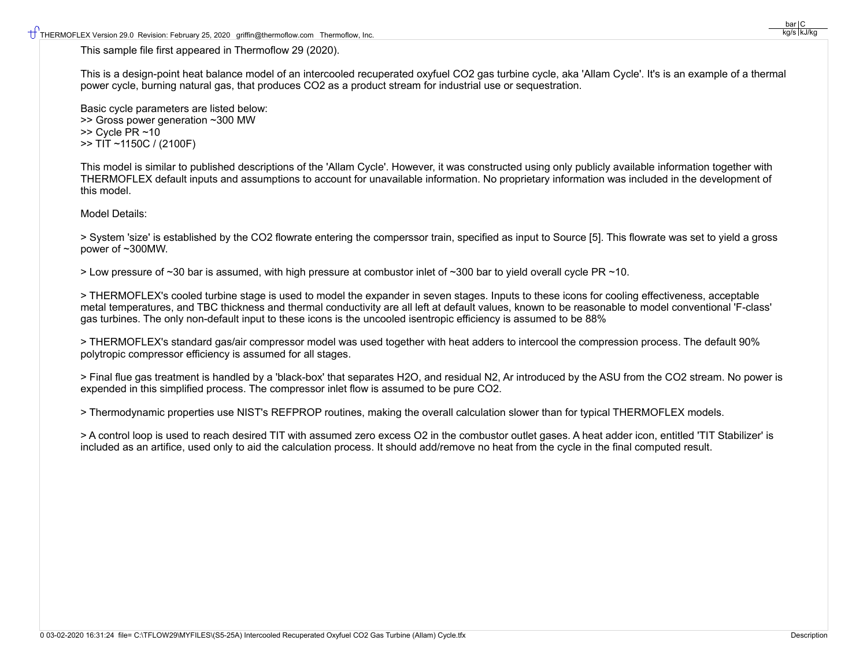This sample file first appeared in Thermoflow 29 (2020).

This is a design-point heat balance model of an intercooled recuperated oxyfuel CO2 gas turbine cycle, aka 'Allam Cycle'. It's is an example of a thermal power cycle, burning natural gas, that produces CO2 as a product stream for industrial use or sequestration.

Basic cycle parameters are listed below: >> Gross power generation ~300 MW  $>>$  Cycle PR  $~10$ >> TIT ~1150C / (2100F)

This model is similar to published descriptions of the 'Allam Cycle'. However, it was constructed using only publicly available information together with THERMOFLEX default inputs and assumptions to account for unavailable information. No proprietary information was included in the development of this model.

Model Details:

> System 'size' is established by the CO2 flowrate entering the comperssor train, specified as input to Source [5]. This flowrate was set to yield a gross power of ~300MW.

> Low pressure of ~30 bar is assumed, with high pressure at combustor inlet of ~300 bar to yield overall cycle PR ~10.

> THERMOFLEX's cooled turbine stage is used to model the expander in seven stages. Inputs to these icons for cooling effectiveness, acceptable metal temperatures, and TBC thickness and thermal conductivity are all left at default values, known to be reasonable to model conventional 'F-class' gas turbines. The only non-default input to these icons is the uncooled isentropic efficiency is assumed to be 88%

> THERMOFLEX's standard gas/air compressor model was used together with heat adders to intercool the compression process. The default 90% polytropic compressor efficiency is assumed for all stages.

> Final flue gas treatment is handled by a 'black-box' that separates H2O, and residual N2, Ar introduced by the ASU from the CO2 stream. No power is expended in this simplified process. The compressor inlet flow is assumed to be pure CO2.

> Thermodynamic properties use NIST's REFPROP routines, making the overall calculation slower than for typical THERMOFLEX models.

> A control loop is used to reach desired TIT with assumed zero excess O2 in the combustor outlet gases. A heat adder icon, entitled 'TIT Stabilizer' is included as an artifice, used only to aid the calculation process. It should add/remove no heat from the cycle in the final computed result.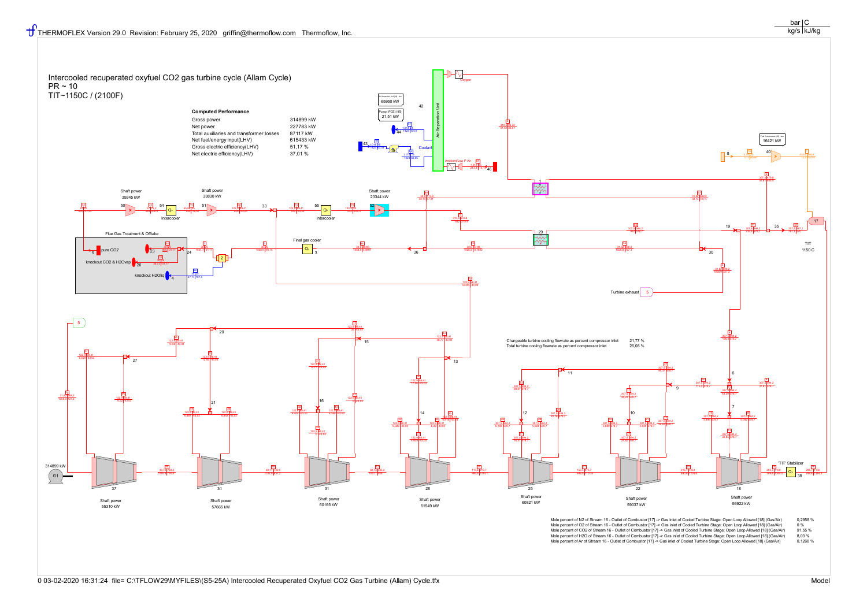

Mole percent of N2 of Stream 16 - Outlet of Combustor [17] -> Gas inlet of Cooled Turbine Stage: Open Loop Allowed [18] (Gas/Air) 0,2958 %<br>Mole percent of O2 of Stream 16 - Outlet of Combustor [17] -> Gas inlet of Cooled T Mole percent of O2 of Stream 16 - Outlet of Combustor [17] -> Gas inlet of Cooled Turbine Stage: Open Loop Allowed [18] (Gas/Air) 0 %<br>Mole percent of CO2 of Stream 16 - Outlet of Combustor [17] -> Gas inlet of Cooled Turbi Mole percent of CO2 of Stream 16 - Outlet of Combustor [17] -> Gas inlet of Cooled Turbine Stage: Open Loop Allowed [18] (Gas/Air) 91,55 %<br>Mole percent of H2O of Stream 16 - Outlet of Combustor [17] -> Gas inlet of Cooled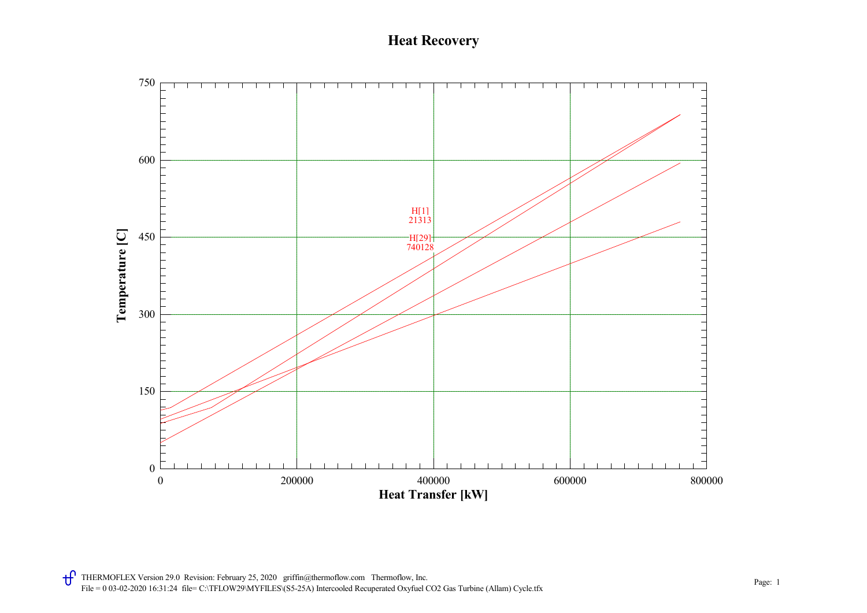## Heat Recovery